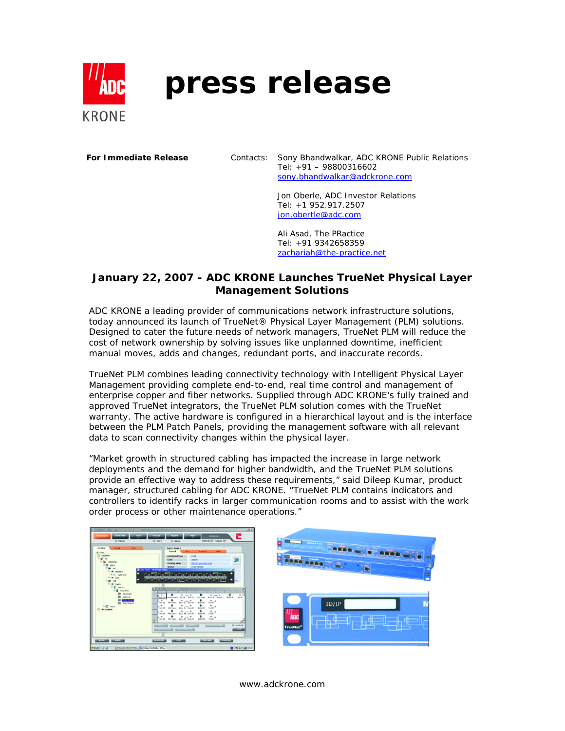

# **press release**

**For Immediate Release** Contacts: Sony Bhandwalkar, ADC KRONE Public Relations Tel: +91 – 98800316602 sony.bhandwalkar@adckrone.com

> Jon Oberle, ADC Investor Relations Tel: +1 952.917.2507 jon.obertle@adc.com

Ali Asad, The PRactice Tel: +91 9342658359 zachariah@the-practice.net

## **January 22, 2007 - ADC KRONE Launches TrueNet Physical Layer Management Solutions**

ADC KRONE a leading provider of communications network infrastructure solutions, today announced its launch of TrueNet® Physical Layer Management (PLM) solutions. Designed to cater the future needs of network managers, TrueNet PLM will reduce the cost of network ownership by solving issues like unplanned downtime, inefficient manual moves, adds and changes, redundant ports, and inaccurate records.

TrueNet PLM combines leading connectivity technology with Intelligent Physical Layer Management providing complete end-to-end, real time control and management of enterprise copper and fiber networks. Supplied through ADC KRONE's fully trained and approved TrueNet integrators, the TrueNet PLM solution comes with the TrueNet warranty. The active hardware is configured in a hierarchical layout and is the interface between the PLM Patch Panels, providing the management software with all relevant data to scan connectivity changes within the physical layer.

"Market growth in structured cabling has impacted the increase in large network deployments and the demand for higher bandwidth, and the TrueNet PLM solutions provide an effective way to address these requirements," said Dileep Kumar, product manager, structured cabling for ADC KRONE. "TrueNet PLM contains indicators and controllers to identify racks in larger communication rooms and to assist with the work order process or other maintenance operations."



www.adckrone.com